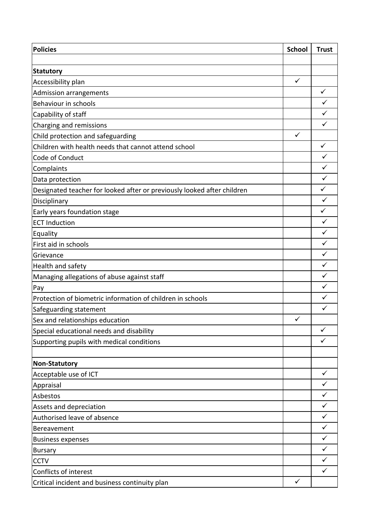| <b>Policies</b>                                                         | <b>School</b> | <b>Trust</b> |
|-------------------------------------------------------------------------|---------------|--------------|
|                                                                         |               |              |
| <b>Statutory</b>                                                        |               |              |
| Accessibility plan                                                      | $\checkmark$  |              |
| <b>Admission arrangements</b>                                           |               | $\checkmark$ |
| Behaviour in schools                                                    |               | $\checkmark$ |
| Capability of staff                                                     |               | $\checkmark$ |
| Charging and remissions                                                 |               | $\checkmark$ |
| Child protection and safeguarding                                       | $\checkmark$  |              |
| Children with health needs that cannot attend school                    |               | $\checkmark$ |
| Code of Conduct                                                         |               | $\checkmark$ |
| Complaints                                                              |               | $\checkmark$ |
| Data protection                                                         |               | $\checkmark$ |
| Designated teacher for looked after or previously looked after children |               | $\checkmark$ |
| Disciplinary                                                            |               | $\checkmark$ |
| Early years foundation stage                                            |               | $\checkmark$ |
| <b>ECT Induction</b>                                                    |               | $\checkmark$ |
| Equality                                                                |               | $\checkmark$ |
| First aid in schools                                                    |               | $\checkmark$ |
| Grievance                                                               |               | ✓            |
| Health and safety                                                       |               | $\checkmark$ |
| Managing allegations of abuse against staff                             |               | $\checkmark$ |
| Pay                                                                     |               | $\checkmark$ |
| Protection of biometric information of children in schools              |               | $\checkmark$ |
| Safeguarding statement                                                  |               | $\checkmark$ |
| Sex and relationships education                                         | $\checkmark$  |              |
| Special educational needs and disability                                |               | $\checkmark$ |
| Supporting pupils with medical conditions                               |               | $\checkmark$ |
|                                                                         |               |              |
| <b>Non-Statutory</b>                                                    |               |              |
| Acceptable use of ICT                                                   |               | $\checkmark$ |
| Appraisal                                                               |               | $\checkmark$ |
| Asbestos                                                                |               | $\checkmark$ |
| Assets and depreciation                                                 |               | $\checkmark$ |
| Authorised leave of absence                                             |               | $\checkmark$ |
| Bereavement                                                             |               | $\checkmark$ |
| <b>Business expenses</b>                                                |               | $\checkmark$ |
| <b>Bursary</b>                                                          |               | $\checkmark$ |
| <b>CCTV</b>                                                             |               | $\checkmark$ |
| Conflicts of interest                                                   |               | $\checkmark$ |
| Critical incident and business continuity plan                          | $\checkmark$  |              |